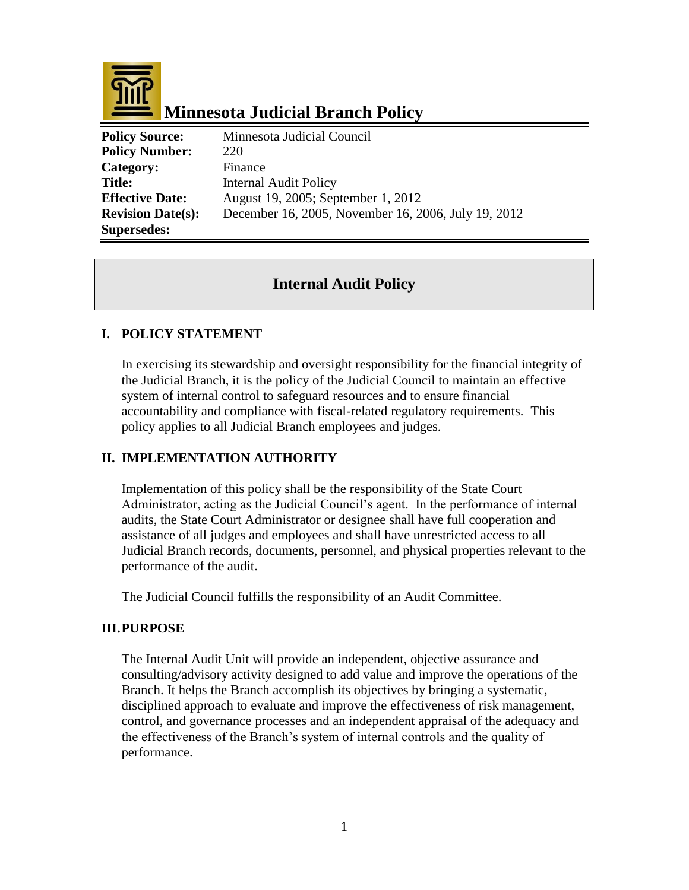

# **Minnesota Judicial Branch Policy**

| <b>Policy Source:</b>    | Minnesota Judicial Council                          |
|--------------------------|-----------------------------------------------------|
| <b>Policy Number:</b>    | 220                                                 |
| Category:                | Finance                                             |
| <b>Title:</b>            | Internal Audit Policy                               |
| <b>Effective Date:</b>   | August 19, 2005; September 1, 2012                  |
| <b>Revision Date(s):</b> | December 16, 2005, November 16, 2006, July 19, 2012 |
| <b>Supersedes:</b>       |                                                     |

# **Internal Audit Policy**

## **I. POLICY STATEMENT**

In exercising its stewardship and oversight responsibility for the financial integrity of the Judicial Branch, it is the policy of the Judicial Council to maintain an effective system of internal control to safeguard resources and to ensure financial accountability and compliance with fiscal-related regulatory requirements. This policy applies to all Judicial Branch employees and judges.

### **II. IMPLEMENTATION AUTHORITY**

Implementation of this policy shall be the responsibility of the State Court Administrator, acting as the Judicial Council's agent. In the performance of internal audits, the State Court Administrator or designee shall have full cooperation and assistance of all judges and employees and shall have unrestricted access to all Judicial Branch records, documents, personnel, and physical properties relevant to the performance of the audit.

The Judicial Council fulfills the responsibility of an Audit Committee.

### **III.PURPOSE**

The Internal Audit Unit will provide an independent, objective assurance and consulting/advisory activity designed to add value and improve the operations of the Branch. It helps the Branch accomplish its objectives by bringing a systematic, disciplined approach to evaluate and improve the effectiveness of risk management, control, and governance processes and an independent appraisal of the adequacy and the effectiveness of the Branch's system of internal controls and the quality of performance.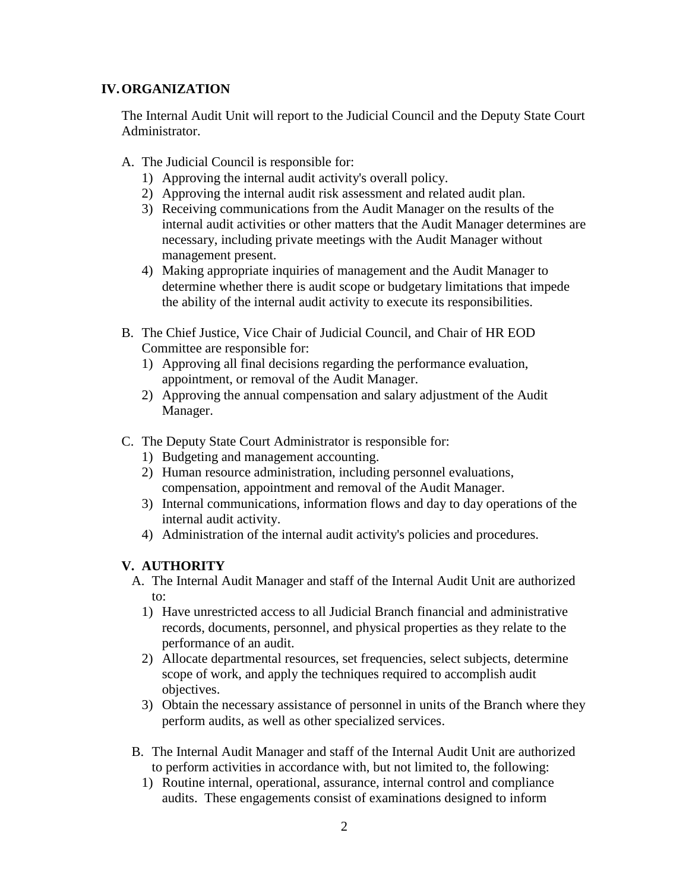#### **IV.ORGANIZATION**

The Internal Audit Unit will report to the Judicial Council and the Deputy State Court Administrator.

- A. The Judicial Council is responsible for:
	- 1) Approving the internal audit activity's overall policy.
	- 2) Approving the internal audit risk assessment and related audit plan.
	- 3) Receiving communications from the Audit Manager on the results of the internal audit activities or other matters that the Audit Manager determines are necessary, including private meetings with the Audit Manager without management present.
	- 4) Making appropriate inquiries of management and the Audit Manager to determine whether there is audit scope or budgetary limitations that impede the ability of the internal audit activity to execute its responsibilities.
- B. The Chief Justice, Vice Chair of Judicial Council, and Chair of HR EOD Committee are responsible for:
	- 1) Approving all final decisions regarding the performance evaluation, appointment, or removal of the Audit Manager.
	- 2) Approving the annual compensation and salary adjustment of the Audit Manager.
- C. The Deputy State Court Administrator is responsible for:
	- 1) Budgeting and management accounting.
	- 2) Human resource administration, including personnel evaluations, compensation, appointment and removal of the Audit Manager.
	- 3) Internal communications, information flows and day to day operations of the internal audit activity.
	- 4) Administration of the internal audit activity's policies and procedures.

#### **V. AUTHORITY**

- A. The Internal Audit Manager and staff of the Internal Audit Unit are authorized to:
	- 1) Have unrestricted access to all Judicial Branch financial and administrative records, documents, personnel, and physical properties as they relate to the performance of an audit.
	- 2) Allocate departmental resources, set frequencies, select subjects, determine scope of work, and apply the techniques required to accomplish audit objectives.
	- 3) Obtain the necessary assistance of personnel in units of the Branch where they perform audits, as well as other specialized services.
- B. The Internal Audit Manager and staff of the Internal Audit Unit are authorized to perform activities in accordance with, but not limited to, the following:
	- 1) Routine internal, operational, assurance, internal control and compliance audits. These engagements consist of examinations designed to inform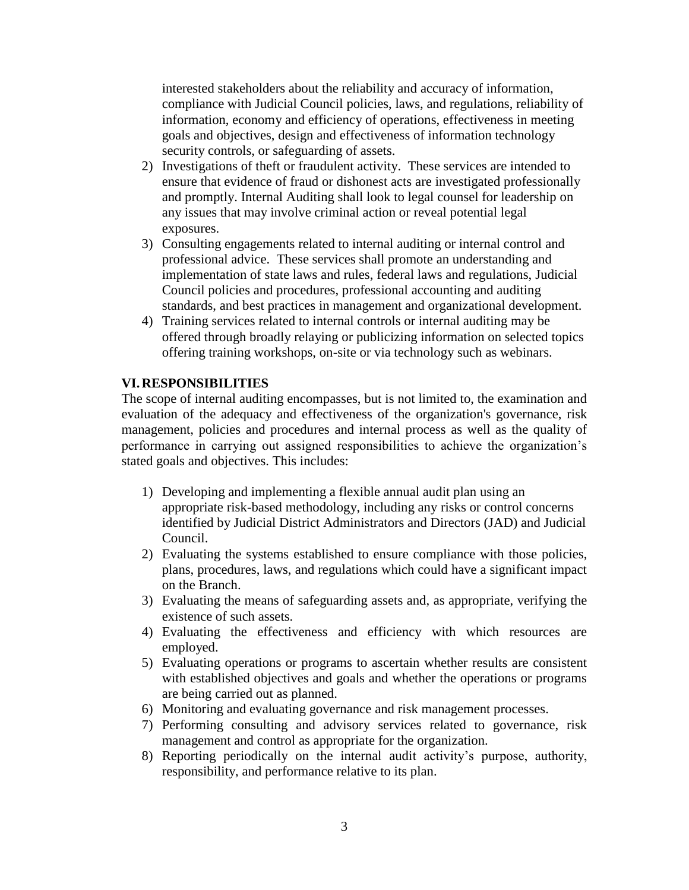interested stakeholders about the reliability and accuracy of information, compliance with Judicial Council policies, laws, and regulations, reliability of information, economy and efficiency of operations, effectiveness in meeting goals and objectives, design and effectiveness of information technology security controls, or safeguarding of assets.

- 2) Investigations of theft or fraudulent activity. These services are intended to ensure that evidence of fraud or dishonest acts are investigated professionally and promptly. Internal Auditing shall look to legal counsel for leadership on any issues that may involve criminal action or reveal potential legal exposures.
- 3) Consulting engagements related to internal auditing or internal control and professional advice. These services shall promote an understanding and implementation of state laws and rules, federal laws and regulations, Judicial Council policies and procedures, professional accounting and auditing standards, and best practices in management and organizational development.
- 4) Training services related to internal controls or internal auditing may be offered through broadly relaying or publicizing information on selected topics offering training workshops, on-site or via technology such as webinars.

### **VI.RESPONSIBILITIES**

The scope of internal auditing encompasses, but is not limited to, the examination and evaluation of the adequacy and effectiveness of the organization's governance, risk management, policies and procedures and internal process as well as the quality of performance in carrying out assigned responsibilities to achieve the organization's stated goals and objectives. This includes:

- 1) Developing and implementing a flexible annual audit plan using an appropriate risk-based methodology, including any risks or control concerns identified by Judicial District Administrators and Directors (JAD) and Judicial Council.
- 2) Evaluating the systems established to ensure compliance with those policies, plans, procedures, laws, and regulations which could have a significant impact on the Branch.
- 3) Evaluating the means of safeguarding assets and, as appropriate, verifying the existence of such assets.
- 4) Evaluating the effectiveness and efficiency with which resources are employed.
- 5) Evaluating operations or programs to ascertain whether results are consistent with established objectives and goals and whether the operations or programs are being carried out as planned.
- 6) Monitoring and evaluating governance and risk management processes.
- 7) Performing consulting and advisory services related to governance, risk management and control as appropriate for the organization.
- 8) Reporting periodically on the internal audit activity's purpose, authority, responsibility, and performance relative to its plan.